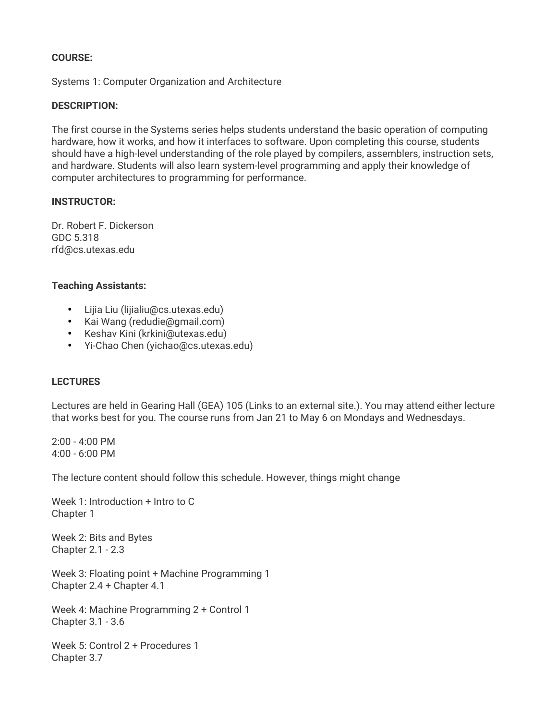## **COURSE:**

Systems 1: Computer Organization and Architecture

### **DESCRIPTION:**

The first course in the Systems series helps students understand the basic operation of computing hardware, how it works, and how it interfaces to software. Upon completing this course, students should have a high-level understanding of the role played by compilers, assemblers, instruction sets, and hardware. Students will also learn system-level programming and apply their knowledge of computer architectures to programming for performance.

### **INSTRUCTOR:**

Dr. Robert F. Dickerson GDC 5.318 rfd@cs.utexas.edu

#### **Teaching Assistants:**

- Lijia Liu (lijialiu@cs.utexas.edu)
- Kai Wang (redudie@gmail.com)
- Keshav Kini (krkini@utexas.edu)
- Yi-Chao Chen (yichao@cs.utexas.edu)

## **LECTURES**

Lectures are held in Gearing Hall (GEA) 105 (Links to an external site.). You may attend either lecture that works best for you. The course runs from Jan 21 to May 6 on Mondays and Wednesdays.

2:00 - 4:00 PM 4:00 - 6:00 PM

The lecture content should follow this schedule. However, things might change

Week 1: Introduction + Intro to C Chapter 1

Week 2: Bits and Bytes Chapter 2.1 - 2.3

Week 3: Floating point + Machine Programming 1 Chapter 2.4 + Chapter 4.1

Week 4: Machine Programming 2 + Control 1 Chapter 3.1 - 3.6

Week 5: Control 2 + Procedures 1 Chapter 3.7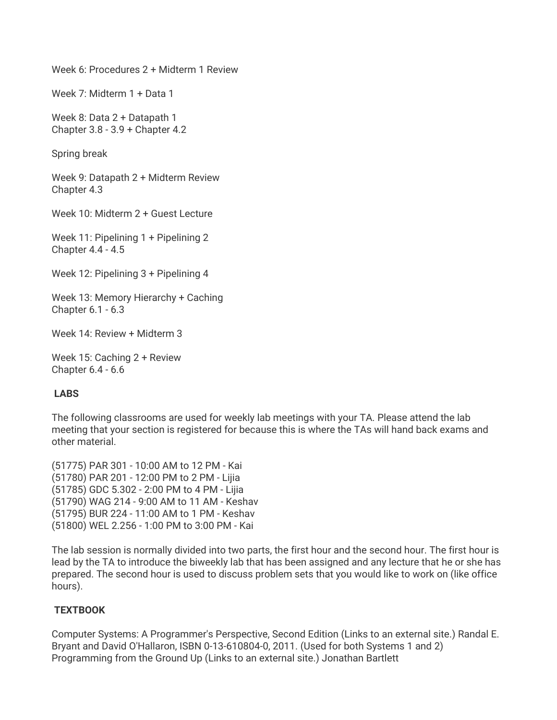Week 6: Procedures 2 + Midterm 1 Review

Week 7: Midterm 1 + Data 1

Week 8: Data 2 + Datapath 1 Chapter 3.8 - 3.9 + Chapter 4.2

Spring break

Week 9: Datapath 2 + Midterm Review Chapter 4.3

Week 10: Midterm 2 + Guest Lecture

Week 11: Pipelining 1 + Pipelining 2 Chapter 4.4 - 4.5

Week 12: Pipelining 3 + Pipelining 4

Week 13: Memory Hierarchy + Caching Chapter 6.1 - 6.3

Week 14: Review + Midterm 3

Week 15: Caching 2 + Review Chapter 6.4 - 6.6

## **LABS**

The following classrooms are used for weekly lab meetings with your TA. Please attend the lab meeting that your section is registered for because this is where the TAs will hand back exams and other material.

(51775) PAR 301 - 10:00 AM to 12 PM - Kai (51780) PAR 201 - 12:00 PM to 2 PM - Lijia (51785) GDC 5.302 - 2:00 PM to 4 PM - Lijia (51790) WAG 214 - 9:00 AM to 11 AM - Keshav (51795) BUR 224 - 11:00 AM to 1 PM - Keshav (51800) WEL 2.256 - 1:00 PM to 3:00 PM - Kai

The lab session is normally divided into two parts, the first hour and the second hour. The first hour is lead by the TA to introduce the biweekly lab that has been assigned and any lecture that he or she has prepared. The second hour is used to discuss problem sets that you would like to work on (like office hours).

## **TEXTBOOK**

Computer Systems: A Programmer's Perspective, Second Edition (Links to an external site.) Randal E. Bryant and David O'Hallaron, ISBN 0-13-610804-0, 2011. (Used for both Systems 1 and 2) Programming from the Ground Up (Links to an external site.) Jonathan Bartlett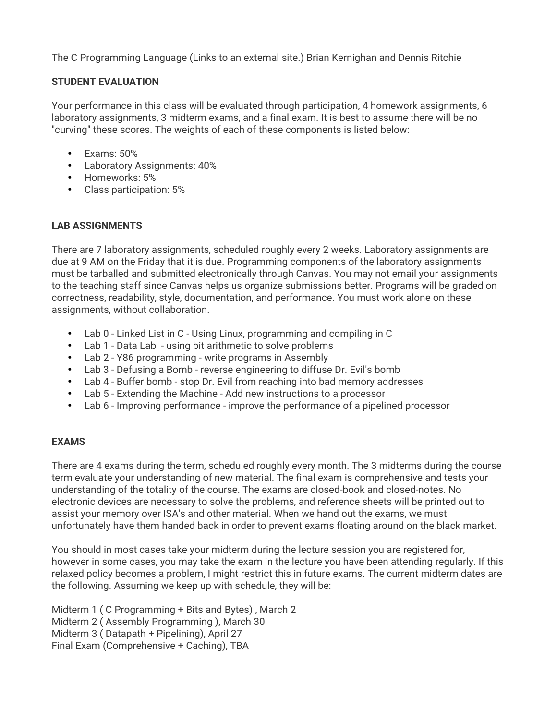The C Programming Language (Links to an external site.) Brian Kernighan and Dennis Ritchie

## **STUDENT EVALUATION**

Your performance in this class will be evaluated through participation, 4 homework assignments, 6 laboratory assignments, 3 midterm exams, and a final exam. It is best to assume there will be no "curving" these scores. The weights of each of these components is listed below:

- Exams: 50%
- Laboratory Assignments: 40%
- Homeworks: 5%
- Class participation: 5%

# **LAB ASSIGNMENTS**

There are 7 laboratory assignments, scheduled roughly every 2 weeks. Laboratory assignments are due at 9 AM on the Friday that it is due. Programming components of the laboratory assignments must be tarballed and submitted electronically through Canvas. You may not email your assignments to the teaching staff since Canvas helps us organize submissions better. Programs will be graded on correctness, readability, style, documentation, and performance. You must work alone on these assignments, without collaboration.

- Lab 0 Linked List in C Using Linux, programming and compiling in C
- Lab 1 Data Lab using bit arithmetic to solve problems
- Lab 2 Y86 programming write programs in Assembly
- Lab 3 Defusing a Bomb reverse engineering to diffuse Dr. Evil's bomb
- Lab 4 Buffer bomb stop Dr. Evil from reaching into bad memory addresses
- Lab 5 Extending the Machine Add new instructions to a processor
- Lab 6 Improving performance improve the performance of a pipelined processor

# **EXAMS**

There are 4 exams during the term, scheduled roughly every month. The 3 midterms during the course term evaluate your understanding of new material. The final exam is comprehensive and tests your understanding of the totality of the course. The exams are closed-book and closed-notes. No electronic devices are necessary to solve the problems, and reference sheets will be printed out to assist your memory over ISA's and other material. When we hand out the exams, we must unfortunately have them handed back in order to prevent exams floating around on the black market.

You should in most cases take your midterm during the lecture session you are registered for, however in some cases, you may take the exam in the lecture you have been attending regularly. If this relaxed policy becomes a problem, I might restrict this in future exams. The current midterm dates are the following. Assuming we keep up with schedule, they will be:

Midterm 1 ( C Programming + Bits and Bytes) , March 2 Midterm 2 ( Assembly Programming ), March 30 Midterm 3 ( Datapath + Pipelining), April 27 Final Exam (Comprehensive + Caching), TBA